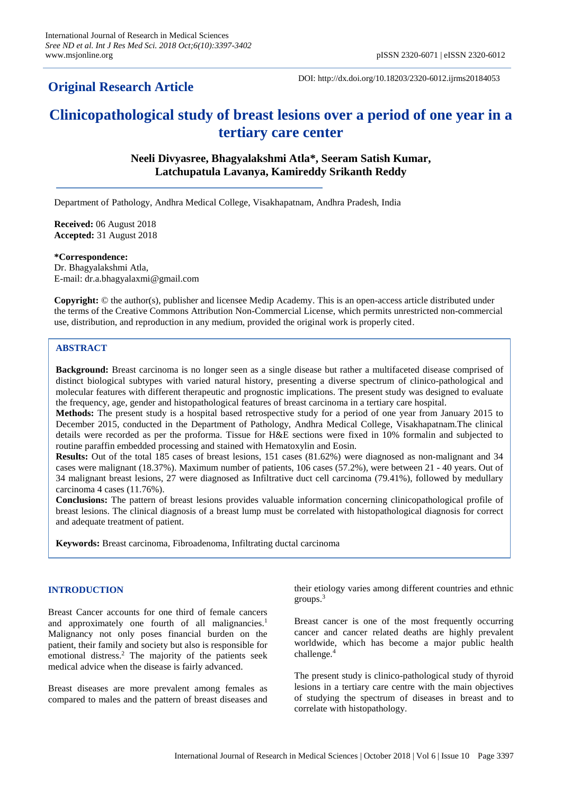# **Original Research Article**

DOI: http://dx.doi.org/10.18203/2320-6012.ijrms20184053

# **Clinicopathological study of breast lesions over a period of one year in a tertiary care center**

# **Neeli Divyasree, Bhagyalakshmi Atla\*, Seeram Satish Kumar, Latchupatula Lavanya, Kamireddy Srikanth Reddy**

Department of Pathology, Andhra Medical College, Visakhapatnam, Andhra Pradesh, India

**Received:** 06 August 2018 **Accepted:** 31 August 2018

**\*Correspondence:** Dr. Bhagyalakshmi Atla, E-mail: dr.a.bhagyalaxmi@gmail.com

**Copyright:** © the author(s), publisher and licensee Medip Academy. This is an open-access article distributed under the terms of the Creative Commons Attribution Non-Commercial License, which permits unrestricted non-commercial use, distribution, and reproduction in any medium, provided the original work is properly cited.

# **ABSTRACT**

**Background:** Breast carcinoma is no longer seen as a single disease but rather a multifaceted disease comprised of distinct biological subtypes with varied natural history, presenting a diverse spectrum of clinico-pathological and molecular features with different therapeutic and prognostic implications. The present study was designed to evaluate the frequency, age, gender and histopathological features of breast carcinoma in a tertiary care hospital.

**Methods:** The present study is a hospital based retrospective study for a period of one year from January 2015 to December 2015, conducted in the Department of Pathology, Andhra Medical College, Visakhapatnam.The clinical details were recorded as per the proforma. Tissue for H&E sections were fixed in 10% formalin and subjected to routine paraffin embedded processing and stained with Hematoxylin and Eosin.

**Results:** Out of the total 185 cases of breast lesions, 151 cases (81.62%) were diagnosed as non-malignant and 34 cases were malignant (18.37%). Maximum number of patients, 106 cases (57.2%), were between 21 - 40 years. Out of 34 malignant breast lesions, 27 were diagnosed as Infiltrative duct cell carcinoma (79.41%), followed by medullary carcinoma 4 cases (11.76%).

**Conclusions:** The pattern of breast lesions provides valuable information concerning clinicopathological profile of breast lesions. The clinical diagnosis of a breast lump must be correlated with histopathological diagnosis for correct and adequate treatment of patient.

**Keywords:** Breast carcinoma, Fibroadenoma, Infiltrating ductal carcinoma

### **INTRODUCTION**

Breast Cancer accounts for one third of female cancers and approximately one fourth of all malignancies.<sup>1</sup> Malignancy not only poses financial burden on the patient, their family and society but also is responsible for emotional distress.<sup>2</sup> The majority of the patients seek medical advice when the disease is fairly advanced.

Breast diseases are more prevalent among females as compared to males and the pattern of breast diseases and their etiology varies among different countries and ethnic groups.<sup>3</sup>

Breast cancer is one of the most frequently occurring cancer and cancer related deaths are highly prevalent worldwide, which has become a major public health challenge.<sup>4</sup>

The present study is clinico-pathological study of thyroid lesions in a tertiary care centre with the main objectives of studying the spectrum of diseases in breast and to correlate with histopathology.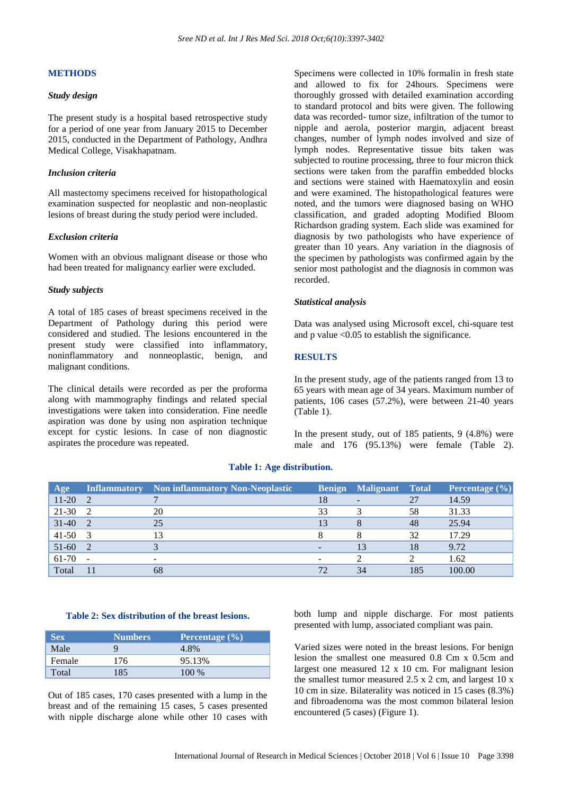# **METHODS**

### *Study design*

The present study is a hospital based retrospective study for a period of one year from January 2015 to December 2015, conducted in the Department of Pathology, Andhra Medical College, Visakhapatnam.

### *Inclusion criteria*

All mastectomy specimens received for histopathological examination suspected for neoplastic and non-neoplastic lesions of breast during the study period were included.

### *Exclusion criteria*

Women with an obvious malignant disease or those who had been treated for malignancy earlier were excluded.

### *Study subjects*

A total of 185 cases of breast specimens received in the Department of Pathology during this period were considered and studied. The lesions encountered in the present study were classified into inflammatory, noninflammatory and nonneoplastic, benign, and malignant conditions.

The clinical details were recorded as per the proforma along with mammography findings and related special investigations were taken into consideration. Fine needle aspiration was done by using non aspiration technique except for cystic lesions. In case of non diagnostic aspirates the procedure was repeated.

Specimens were collected in 10% formalin in fresh state and allowed to fix for 24hours. Specimens were thoroughly grossed with detailed examination according to standard protocol and bits were given. The following data was recorded- tumor size, infiltration of the tumor to nipple and aerola, posterior margin, adjacent breast changes, number of lymph nodes involved and size of lymph nodes. Representative tissue bits taken was subjected to routine processing, three to four micron thick sections were taken from the paraffin embedded blocks and sections were stained with Haematoxylin and eosin and were examined. The histopathological features were noted, and the tumors were diagnosed basing on WHO classification, and graded adopting Modified Bloom Richardson grading system. Each slide was examined for diagnosis by two pathologists who have experience of greater than 10 years. Any variation in the diagnosis of the specimen by pathologists was confirmed again by the senior most pathologist and the diagnosis in common was recorded.

### *Statistical analysis*

Data was analysed using Microsoft excel, chi-square test and  $p$  value  $\leq 0.05$  to establish the significance.

# **RESULTS**

In the present study, age of the patients ranged from 13 to 65 years with mean age of 34 years. Maximum number of patients, 106 cases (57.2%), were between 21-40 years (Table 1).

In the present study, out of 185 patients, 9 (4.8%) were male and 176 (95.13%) were female (Table 2).

# **Age Inflammatory Non inflammatory Non-Neoplastic Benign Malignant Total Percentage (%)**  $11-20$  2 7  $18$  - 27  $14.59$ 21-30 2 20 20 33 3 58 31.33  $31-40$  2 25 25 13 8 48 25.94 41-50 3 13 13 8 8 32 17.29 51-60 2 3 3 3 4 51  $\sqrt{3}$  13 18 9.72 61-70 - - - - - - - - - - - - - - - 2 2 1.62 Total 11 68 72 34 185 100.00

# **Table 1: Age distribution.**

#### **Table 2: Sex distribution of the breast lesions.**

| <b>Sex</b> | <b>Numbers</b> | Percentage $(\% )$ |
|------------|----------------|--------------------|
| Male       |                | 4.8%               |
| Female     | 176            | 95.13%             |
| Total      | 185            | 100 %              |

Out of 185 cases, 170 cases presented with a lump in the breast and of the remaining 15 cases, 5 cases presented with nipple discharge alone while other 10 cases with both lump and nipple discharge. For most patients presented with lump, associated compliant was pain.

Varied sizes were noted in the breast lesions. For benign lesion the smallest one measured 0.8 Cm x 0.5cm and largest one measured 12 x 10 cm. For malignant lesion the smallest tumor measured 2.5 x 2 cm, and largest 10 x 10 cm in size. Bilaterality was noticed in 15 cases (8.3%) and fibroadenoma was the most common bilateral lesion encountered (5 cases) (Figure 1).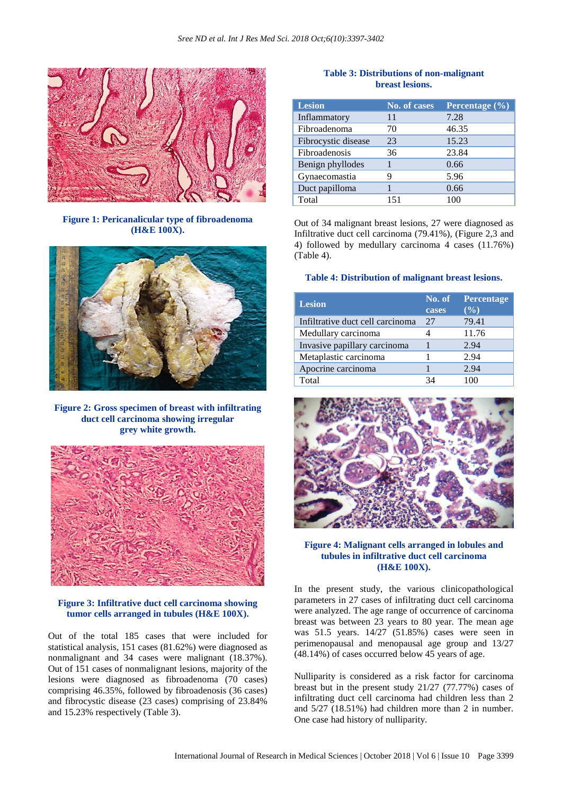

**Figure 1: Pericanalicular type of fibroadenoma (H&E 100X).**



**Figure 2: Gross specimen of breast with infiltrating duct cell carcinoma showing irregular grey white growth.**



### **Figure 3: Infiltrative duct cell carcinoma showing tumor cells arranged in tubules (H&E 100X).**

Out of the total 185 cases that were included for statistical analysis, 151 cases (81.62%) were diagnosed as nonmalignant and 34 cases were malignant (18.37%). Out of 151 cases of nonmalignant lesions, majority of the lesions were diagnosed as fibroadenoma (70 cases) comprising 46.35%, followed by fibroadenosis (36 cases) and fibrocystic disease (23 cases) comprising of 23.84% and 15.23% respectively (Table 3).

# **Table 3: Distributions of non-malignant breast lesions.**

| <b>Lesion</b>       | No. of cases | Percentage $(\frac{6}{6})$ |
|---------------------|--------------|----------------------------|
| Inflammatory        | 11           | 7.28                       |
| Fibroadenoma        | 70           | 46.35                      |
| Fibrocystic disease | 23           | 15.23                      |
| Fibroadenosis       | 36           | 23.84                      |
| Benign phyllodes    |              | 0.66                       |
| Gynaecomastia       | 9            | 5.96                       |
| Duct papilloma      |              | 0.66                       |
| Total               | 151          |                            |

Out of 34 malignant breast lesions, 27 were diagnosed as Infiltrative duct cell carcinoma (79.41%), (Figure 2,3 and 4) followed by medullary carcinoma 4 cases (11.76%) (Table 4).

#### **Table 4: Distribution of malignant breast lesions.**

| <b>Lesion</b>                    | No. of<br>cases | <b>Percentage</b><br>$($ %) |
|----------------------------------|-----------------|-----------------------------|
| Infiltrative duct cell carcinoma | 27              | 79.41                       |
| Medullary carcinoma              |                 | 11.76                       |
| Invasive papillary carcinoma     |                 | 2.94                        |
| Metaplastic carcinoma            |                 | 2.94                        |
| Apocrine carcinoma               |                 | 2.94                        |
| Total                            | 34              | 100                         |



### **Figure 4: Malignant cells arranged in lobules and tubules in infiltrative duct cell carcinoma (H&E 100X).**

In the present study, the various clinicopathological parameters in 27 cases of infiltrating duct cell carcinoma were analyzed. The age range of occurrence of carcinoma breast was between 23 years to 80 year. The mean age was 51.5 years. 14/27 (51.85%) cases were seen in perimenopausal and menopausal age group and 13/27 (48.14%) of cases occurred below 45 years of age.

Nulliparity is considered as a risk factor for carcinoma breast but in the present study 21/27 (77.77%) cases of infiltrating duct cell carcinoma had children less than 2 and 5/27 (18.51%) had children more than 2 in number. One case had history of nulliparity.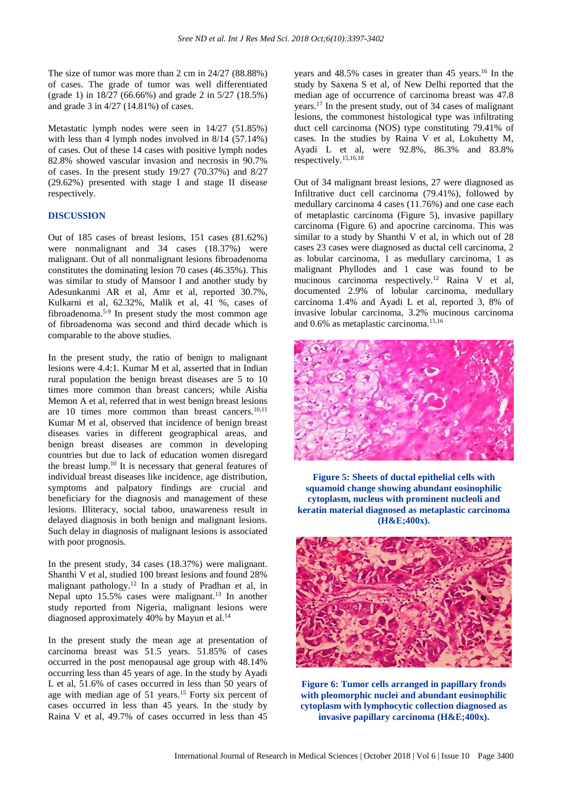The size of tumor was more than 2 cm in 24/27 (88.88%) of cases. The grade of tumor was well differentiated (grade 1) in 18/27 (66.66%) and grade 2 in 5/27 (18.5%) and grade 3 in 4/27 (14.81%) of cases.

Metastatic lymph nodes were seen in 14/27 (51.85%) with less than  $\overline{4}$  lymph nodes involved in 8/14 (57.14%) of cases. Out of these 14 cases with positive lymph nodes 82.8% showed vascular invasion and necrosis in 90.7% of cases. In the present study 19/27 (70.37%) and 8/27 (29.62%) presented with stage I and stage II disease respectively.

# **DISCUSSION**

Out of 185 cases of breast lesions, 151 cases (81.62%) were nonmalignant and 34 cases (18.37%) were malignant. Out of all nonmalignant lesions fibroadenoma constitutes the dominating lesion 70 cases (46.35%). This was similar to study of Mansoor I and another study by Adesunkanmi AR et al, Amr et al, reported 30.7%, Kulkarni et al, 62.32%, Malik et al, 41 %, cases of fibroadenoma.5-9 In present study the most common age of fibroadenoma was second and third decade which is comparable to the above studies.

In the present study, the ratio of benign to malignant lesions were 4.4:1. Kumar M et al, asserted that in Indian rural population the benign breast diseases are 5 to 10 times more common than breast cancers; while Aisha Memon A et al, referred that in west benign breast lesions are 10 times more common than breast cancers.<sup>10,11</sup> Kumar M et al, observed that incidence of benign breast diseases varies in different geographical areas, and benign breast diseases are common in developing countries but due to lack of education women disregard the breast lump.<sup>10</sup> It is necessary that general features of individual breast diseases like incidence, age distribution, symptoms and palpatory findings are crucial and beneficiary for the diagnosis and management of these lesions. Illiteracy, social taboo, unawareness result in delayed diagnosis in both benign and malignant lesions. Such delay in diagnosis of malignant lesions is associated with poor prognosis.

In the present study, 34 cases (18.37%) were malignant. Shanthi V et al, studied 100 breast lesions and found 28% malignant pathology.<sup>12</sup> In a study of Pradhan et al, in Nepal upto  $15.5\%$  cases were malignant.<sup>13</sup> In another study reported from Nigeria, malignant lesions were diagnosed approximately 40% by Mayun et al.<sup>14</sup>

In the present study the mean age at presentation of carcinoma breast was 51.5 years. 51.85% of cases occurred in the post menopausal age group with 48.14% occurring less than 45 years of age. In the study by Ayadi L et al, 51.6% of cases occurred in less than 50 years of age with median age of 51 years.<sup>15</sup> Forty six percent of cases occurred in less than 45 years. In the study by Raina V et al, 49.7% of cases occurred in less than 45 years and 48.5% cases in greater than 45 years.<sup>16</sup> In the study by Saxena S et al, of New Delhi reported that the median age of occurrence of carcinoma breast was 47.8 years.<sup>17</sup> In the present study, out of 34 cases of malignant lesions, the commonest histological type was infiltrating duct cell carcinoma (NOS) type constituting 79.41% of cases. In the studies by Raina V et al, Lokuhetty M, Ayadi L et al, were 92.8%, 86.3% and 83.8% respectively.15,16,18

Out of 34 malignant breast lesions, 27 were diagnosed as Infiltrative duct cell carcinoma (79.41%), followed by medullary carcinoma 4 cases (11.76%) and one case each of metaplastic carcinoma (Figure 5), invasive papillary carcinoma (Figure 6) and apocrine carcinoma. This was similar to a study by Shanthi V et al, in which out of 28 cases 23 cases were diagnosed as ductal cell carcinoma, 2 as lobular carcinoma, 1 as medullary carcinoma, 1 as malignant Phyllodes and 1 case was found to be mucinous carcinoma respectively.<sup>12</sup> Raina V et al, documented 2.9% of lobular carcinoma, medullary carcinoma 1.4% and Ayadi L et al, reported 3, 8% of invasive lobular carcinoma, 3.2% mucinous carcinoma and 0.6% as metaplastic carcinoma.15,16



**Figure 5: Sheets of ductal epithelial cells with squamoid change showing abundant eosinophilic cytoplasm, nucleus with prominent nucleoli and keratin material diagnosed as metaplastic carcinoma (H&E;400x).**



**Figure 6: Tumor cells arranged in papillary fronds with pleomorphic nuclei and abundant eosinophilic cytoplasm with lymphocytic collection diagnosed as invasive papillary carcinoma (H&E;400x).**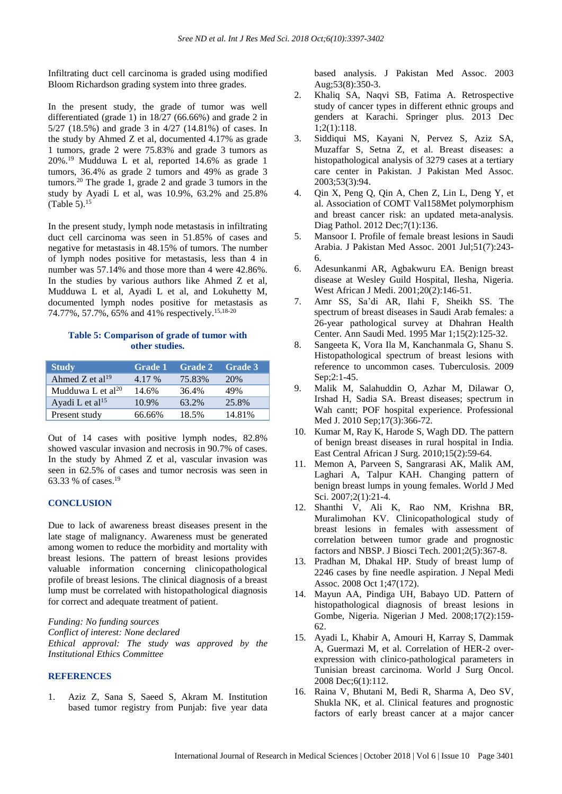Infiltrating duct cell carcinoma is graded using modified Bloom Richardson grading system into three grades.

In the present study, the grade of tumor was well differentiated (grade 1) in 18/27 (66.66%) and grade 2 in 5/27 (18.5%) and grade 3 in 4/27 (14.81%) of cases. In the study by Ahmed Z et al, documented 4.17% as grade 1 tumors, grade 2 were 75.83% and grade 3 tumors as 20%.<sup>19</sup> Mudduwa L et al, reported 14.6% as grade 1 tumors, 36.4% as grade 2 tumors and 49% as grade 3 tumors.<sup>20</sup> The grade 1, grade 2 and grade 3 tumors in the study by Ayadi L et al, was 10.9%, 63.2% and 25.8% (Table 5). $15$ 

In the present study, lymph node metastasis in infiltrating duct cell carcinoma was seen in 51.85% of cases and negative for metastasis in 48.15% of tumors. The number of lymph nodes positive for metastasis, less than 4 in number was 57.14% and those more than 4 were 42.86%. In the studies by various authors like Ahmed Z et al, Mudduwa L et al, Ayadi L et al, and Lokuhetty M, documented lymph nodes positive for metastasis as 74.77%, 57.7%, 65% and 41% respectively.15,18-20

# **Table 5: Comparison of grade of tumor with other studies.**

| <b>Study</b>                  | <b>Grade 1</b> | <b>Grade 2</b> | <b>Grade 3</b> |
|-------------------------------|----------------|----------------|----------------|
| Ahmed Z et al <sup>19</sup>   | 4.17 %         | 75.83%         | 20%            |
| Mudduwa L et al <sup>20</sup> | 14.6%          | 36.4%          | 49%            |
| Ayadi L et al <sup>15</sup>   | 10.9%          | 63.2%          | 25.8%          |
| Present study                 | 66.66%         | 18.5%          | 14.81%         |

Out of 14 cases with positive lymph nodes, 82.8% showed vascular invasion and necrosis in 90.7% of cases. In the study by Ahmed Z et al, vascular invasion was seen in 62.5% of cases and tumor necrosis was seen in 63.33 % of cases.<sup>19</sup>

# **CONCLUSION**

Due to lack of awareness breast diseases present in the late stage of malignancy. Awareness must be generated among women to reduce the morbidity and mortality with breast lesions. The pattern of breast lesions provides valuable information concerning clinicopathological profile of breast lesions. The clinical diagnosis of a breast lump must be correlated with histopathological diagnosis for correct and adequate treatment of patient.

*Funding: No funding sources Conflict of interest: None declared Ethical approval: The study was approved by the Institutional Ethics Committee*

### **REFERENCES**

1. Aziz Z, Sana S, Saeed S, Akram M. Institution based tumor registry from Punjab: five year data based analysis. J Pakistan Med Assoc. 2003 Aug;53(8):350-3.

- 2. Khaliq SA, Naqvi SB, Fatima A. Retrospective study of cancer types in different ethnic groups and genders at Karachi. Springer plus. 2013 Dec 1;2(1):118.
- 3. Siddiqui MS, Kayani N, Pervez S, Aziz SA, Muzaffar S, Setna Z, et al. Breast diseases: a histopathological analysis of 3279 cases at a tertiary care center in Pakistan. J Pakistan Med Assoc. 2003;53(3):94.
- 4. Qin X, Peng Q, Qin A, Chen Z, Lin L, Deng Y, et al. Association of COMT Val158Met polymorphism and breast cancer risk: an updated meta-analysis. Diag Pathol. 2012 Dec;7(1):136.
- 5. Mansoor I. Profile of female breast lesions in Saudi Arabia. J Pakistan Med Assoc. 2001 Jul;51(7):243- 6.
- 6. Adesunkanmi AR, Agbakwuru EA. Benign breast disease at Wesley Guild Hospital, Ilesha, Nigeria. West African J Medi. 2001;20(2):146-51.
- 7. Amr SS, Sa'di AR, Ilahi F, Sheikh SS. The spectrum of breast diseases in Saudi Arab females: a 26-year pathological survey at Dhahran Health Center. Ann Saudi Med. 1995 Mar 1;15(2):125-32.
- 8. Sangeeta K, Vora Ila M, Kanchanmala G, Shanu S. Histopathological spectrum of breast lesions with reference to uncommon cases. Tuberculosis. 2009 Sep;2:1-45.
- 9. Malik M, Salahuddin O, Azhar M, Dilawar O, Irshad H, Sadia SA. Breast diseases; spectrum in Wah cantt; POF hospital experience. Professional Med J. 2010 Sep:17(3):366-72.
- 10. Kumar M, Ray K, Harode S, Wagh DD. The pattern of benign breast diseases in rural hospital in India. East Central African J Surg. 2010;15(2):59-64.
- 11. Memon A, Parveen S, Sangrarasi AK, Malik AM, Laghari A, Talpur KAH. Changing pattern of benign breast lumps in young females. World J Med Sci. 2007;2(1):21-4.
- 12. Shanthi V, Ali K, Rao NM, Krishna BR, Muralimohan KV. Clinicopathological study of breast lesions in females with assessment of correlation between tumor grade and prognostic factors and NBSP. J Biosci Tech. 2001;2(5):367-8.
- 13. Pradhan M, Dhakal HP. Study of breast lump of 2246 cases by fine needle aspiration. J Nepal Medi Assoc. 2008 Oct 1;47(172).
- 14. Mayun AA, Pindiga UH, Babayo UD. Pattern of histopathological diagnosis of breast lesions in Gombe, Nigeria. Nigerian J Med. 2008;17(2):159- 62.
- 15. Ayadi L, Khabir A, Amouri H, Karray S, Dammak A, Guermazi M, et al. Correlation of HER-2 overexpression with clinico-pathological parameters in Tunisian breast carcinoma. World J Surg Oncol. 2008 Dec;6(1):112.
- 16. Raina V, Bhutani M, Bedi R, Sharma A, Deo SV, Shukla NK, et al. Clinical features and prognostic factors of early breast cancer at a major cancer